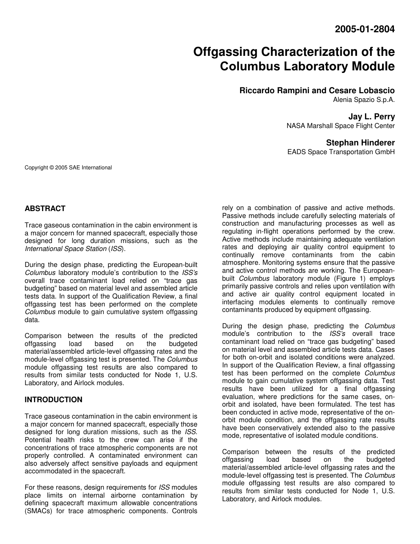# **Offgassing Characterization of the Columbus Laboratory Module**

## **Riccardo Rampini and Cesare Lobascio**

Alenia Spazio S.p.A.

#### **Jay L. Perry**

NASA Marshall Space Flight Center

## **Stephan Hinderer**

EADS Space Transportation GmbH

Copyright © 2005 SAE International

## **ABSTRACT**

Trace gaseous contamination in the cabin environment is a major concern for manned spacecraft, especially those designed for long duration missions, such as the *International Space Station* (*ISS*).

During the design phase, predicting the European-built Columbus laboratory module's contribution to the ISS's *Columbus* laboratory module's contribution to the *ISS's* overall trace contaminant load relied on "trace gas budgeting" based on material level and assembled article tests data. In support of the Qualification Review, a final offgassing test has been performed on the complete *Columbus* module to gain cumulative system offgassing data.

Comparison between the results of the predicted offgassing load based on the budgeted material/assembled article-level offgassing rates and the module-level offgassing test is presented. The *Columbus* module offgassing test results are also compared to results from similar tests conducted for Node 1, U.S. Laboratory, and Airlock modules.

#### **INTRODUCTION**

Trace gaseous contamination in the cabin environment is a major concern for manned spacecraft, especially those designed for long duration missions, such as the *ISS*. Potential health risks to the crew can arise if the concentrations of trace atmospheric components are not properly controlled. A contaminated environment can also adversely affect sensitive payloads and equipment accommodated in the spacecraft.

For these reasons, design requirements for *ISS* modules place limits on internal airborne contamination by defining spacecraft maximum allowable concentrations (SMACs) for trace atmospheric components. Controls

rely on a combination of passive and active methods. Passive methods include carefully selecting materials of construction and manufacturing processes as well as regulating in-flight operations performed by the crew. Active methods include maintaining adequate ventilation rates and deploying air quality control equipment to continually remove contaminants from the cabin atmosphere. Monitoring systems ensure that the passive and active control methods are working. The Europeanbuilt *Columbus* laboratory module (Figure 1) employs primarily passive controls and relies upon ventilation with and active air quality control equipment located in interfacing modules elements to continually remove contaminants produced by equipment offgassing.

During the design phase, predicting the *Columbus* module's contribution to the *ISS's* overall trace contaminant load relied on "trace gas budgeting" based on material level and assembled article tests data. Cases for both on-orbit and isolated conditions were analyzed. In support of the Qualification Review, a final offgassing test has been performed on the complete *Columbus* module to gain cumulative system offgassing data. Test results have been utilized for a final offgassing evaluation, where predictions for the same cases, onorbit and isolated, have been formulated. The test has been conducted in active mode, representative of the onorbit module condition, and the offgassing rate results have been conservatively extended also to the passive mode, representative of isolated module conditions.

Comparison between the results of the predicted offgassing load based on the budgeted material/assembled article-level offgassing rates and the module-level offgassing test is presented. The *Columbus* module offgassing test results are also compared to results from similar tests conducted for Node 1, U.S. Laboratory, and Airlock modules.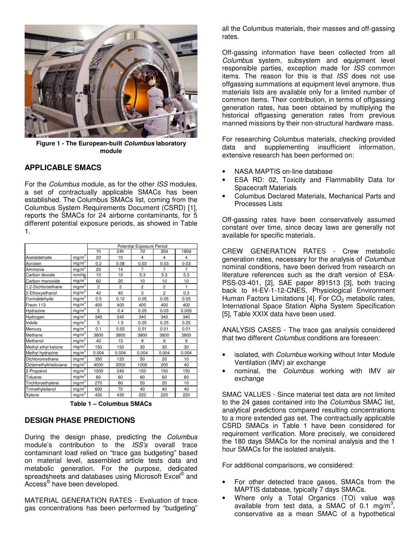

**Figure 1 - The European-built** *Columbus* **laboratory module**

#### **APPLICABLE SMACS**

For the *Columbus* module, as for the other *ISS* modules, a set of contractually applicable SMACs has been established. The Columbus SMACs list, coming from the Columbus System Requirements Document (CSRD) [1], reports the SMACs for 24 airborne contaminants, for 5 different potential exposure periods, as showed in Table 1.

|                       |                   | Potential Exposure Period |                |                         |                |                |
|-----------------------|-------------------|---------------------------|----------------|-------------------------|----------------|----------------|
|                       |                   | 1 <sub>h</sub>            | 24h            | 7d                      | 30d            | 180d           |
| Acetaldehyde          | $mg/m^3$          | 20                        | 10             | $\overline{\mathbf{4}}$ | 4              | 4              |
| Acrolein              | mg/m <sup>3</sup> | 0.2                       | 0.08           | 0.03                    | 0.03           | 0.03           |
| Ammonia               | mg/m <sup>3</sup> | 20                        | 14             | $\overline{7}$          | 7              | $\overline{7}$ |
| Carbon dioxide        | mmHg              | 10                        | 10             | 5.3                     | 5.3            | 5.3            |
| Carbon monoxide       | $mg/m^3$          | 60                        | 20             | 10                      | 10             | 10             |
| 1,2-Dichloroethane    | $mg/m^3$          | $\overline{c}$            | $\overline{2}$ | $\overline{2}$          | $\overline{c}$ | 1              |
| 2-Ethoxyethanol       | $mg/m^3$          | 40                        | 40             | 3                       | $\overline{2}$ | 0.3            |
| Formaldehyde          | $mg/m^3$          | 0.5                       | 0.12           | 0.05                    | 0.05           | 0.05           |
| Freon 113             | mg/m <sup>3</sup> | 400                       | 400            | 400                     | 400            | 400            |
| Hydrazine             | mg/m <sup>3</sup> | 5                         | 0.4            | 0.05                    | 0.03           | 0.005          |
| Hydrogen              | mg/m <sup>3</sup> | 340                       | 340            | 340                     | 340            | 340            |
| Indole                | $mg/m^3$          | 5                         | 1.5            | 0.25                    | 0.25           | 0.25           |
| Mercury               | mg/m <sup>3</sup> | 0.1                       | 0.02           | 0.01                    | 0.01           | 0.01           |
| Methane               | mg/m <sup>3</sup> | 3800                      | 3800           | 3800                    | 3800           | 3800           |
| Methanol              | $mg/m^3$          | 40                        | 13             | 9                       | 9              | 9              |
| Methyl ethyl ketone   | mg/m <sup>3</sup> | 150                       | 150            | 30                      | 30             | 30             |
| Methyl hydrazine      | mg/m <sup>3</sup> | 0.004                     | 0.004          | 0.004                   | 0.004          | 0.004          |
| Dichloromethane       | $mg/m^3$          | 350                       | 120            | 50                      | 20             | 10             |
| Octamethyltrisiloxane | mg/m <sup>3</sup> | 4000                      | 2000           | 1000                    | 200            | 40             |
| 2-Propanol            | mg/m <sup>3</sup> | 1000                      | 240            | 150                     | 150            | 150            |
| Toluene               | $mg/m^3$          | 60                        | 60             | 60                      | 60             | 60             |
| Trichloroethylene     | mg/m <sup>3</sup> | 270                       | 60             | 50                      | 20             | 10             |
| Trimethylsilanol      | $mg/m^3$          | 600                       | 70             | 40                      | 40             | 40             |
| Xylene                | $mg/m^3$          | 430                       | 430            | 220                     | 220            | 220            |

**Table 1 – Columbus SMACs**

## **DESIGN PHASE PREDICTIONS**

During the design phase, predicting the *Columbus* module's contribution to the *ISS's* overall trace contaminant load relied on "trace gas budgeting" based on material level, assembled article tests data and metabolic generation. For the purpose, dedicated spreadsheets and databases using Microsoft Excel<sup>®</sup> and Access© have been developed.

MATERIAL GENERATION RATES - Evaluation of trace gas concentrations has been performed by "budgeting"

all the Columbus materials, their masses and off-gassing rates.

Off-gassing information have been collected from all *Columbus* system, subsystem and equipment level responsible parties, exception made for *ISS* common items. The reason for this is that *ISS* does not use offgassing summations at equipment level anymore, thus materials lists are available only for a limited number of common items. Their contribution, in terms of offgassing generation rates, has been obtained by multiplying the historical offgassing generation rates from previous manned missions by their non-structural hardware mass.

For researching Columbus materials, checking provided data and supplementing insufficient information, extensive research has been performed on:

- NASA MAPTIS on-line database
- ESA RD: 02, Toxicity and Flammability Data for Spacecraft Materials
- Columbus Declared Materials, Mechanical Parts and Processes Lists

Off-gassing rates have been conservatively assumed constant over time, since decay laws are generally not available for specific materials.

CREW GENERATION RATES - Crew metabolic generation rates, necessary for the analysis of *Columbus* nominal conditions, have been derived from research on literature references such as the draft version of ESA-PSS-03-401, [2], SAE paper 891513 [3], both tracing back to H-EV-1-12-CNES, Physiological Environment Human Factors Limitations [4]. For  $CO<sub>2</sub>$  metabolic rates, International Space Station Alpha System Specification [5], Table XXIX data have been used.

ANALYSIS CASES - The trace gas analysis considered that two different *Columbus* conditions are foreseen:

- isolated, with *Columbus* working without Inter Module Ventilation (IMV) air exchange
- nominal, the *Columbus* working with IMV air exchange

SMAC VALUES - Since material test data are not limited to the 24 gases contained into the *Columbus* SMAC list, analytical predictions compared resulting concentrations to a more extended gas set. The contractually applicable CSRD SMACs in Table 1 have been considered for requirement verification. More precisely, we considered the 180 days SMACs for the nominal analysis and the 1 hour SMACs for the isolated analysis.

For additional comparisons, we considered:

- For other detected trace gases, SMACs from the MAPTIS database, typically 7 days SMACs.
- Where only a Total Organics (TO) value was available from test data, a SMAC of 0.1 mg/m<sup>3</sup>, conservative as a mean SMAC of a hypothetical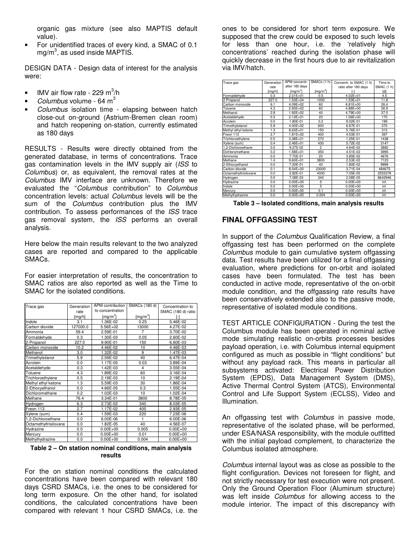organic gas mixture (see also MAPTIS default value).

• For unidentified traces of every kind, a SMAC of 0.1 mg/m $^3$ , as used inside MAPTIS.

DESIGN DATA - Design data of interest for the analysis were:

- IMV air flow rate 229  $m^3/h$
- *Columbus* volume 64 m<sup>3</sup>
- *Columbus* isolation time elapsing between hatch close-out on-ground (Astrium-Bremen clean room) and hatch reopening on-station, currently estimated as 180 days

RESULTS - Results were directly obtained from the generated database, in terms of concentrations. Trace gas contamination levels in the IMV supply air (*ISS* to *Columbus*) or, as equivalent, the removal rates at the *Columbus* IMV interface are unknown. Therefore we evaluated the "*Columbus* contribution" to *Columbus* concentration levels: actual *Columbus* levels will be the sum of the *Columbus* contribution plus the IMV contribution. To assess performances of the *ISS* trace gas removal system, the *ISS* performs an overall analysis.

Here below the main results relevant to the two analyzed cases are reported and compared to the applicable SMACs.

For easier interpretation of results, the concentration to SMAC ratios are also reported as well as the Time to SMAC for the isolated conditions.

| Trace gas             | Generation | APM contribution | SMACs (180 d)           | Concentration to   |
|-----------------------|------------|------------------|-------------------------|--------------------|
|                       | rate       | to concentration |                         | SMAC (180 d) ratio |
|                       | [mg/h]     | [mg/m $^3$ ]     | [mg/m $^3$ ]            | -1                 |
| Indole                | 3.1        | 1.36E-02         | 0.25                    | 5.46E-02           |
| Carbon dioxide        | 127000.0   | 5.56E+02         | 13000                   | 4.27E-02           |
| Ammonia               | 59.4       | 2.59E-01         | $\overline{7}$          | 3.70E-02           |
| Formaldehyde          | 0.3        | 1.30E-03         | 0.05                    | 2.60E-02           |
| 2-Propanol            | 227.0      | 9.90E-01         | 150                     | 6.60E-03           |
| Carbon monoxide       | 10.2       | 4.46E-02         | 10                      | 4.46E-03           |
| Methanol              | 3.0        | 1.32E-02         | 9                       | 1.47E-03           |
| Trimethylsilanol      | 5.9        | 2.59E-02         | 40                      | 6.47E-04           |
| Acrolein              | 0.0        | 1.17E-05         | 0.03                    | 3.89E-04           |
| Acetaldehyde          | 0.3        | 1.42E-03         | $\overline{\mathbf{4}}$ | 3.55E-04           |
| Toluene               | 4.3        | 1.89E-02         | 60                      | 3.16E-04           |
| Trichloroethylene     | 0.5        | 2.19E-03         | 10                      | 2.19E-04           |
| Methyl ethyl ketone   | 1.3        | 5.59E-03         | 30                      | 1.86E-04           |
| 2-Ethoxyethanol       | 0.0        | 4.66E-05         | 0.3                     | 1.55E-04           |
| Dichloromethane       | 0.2        | 1.02E-03         | 10                      | 1.02E-04           |
| Methane               | 76.4       | 3.34E-01         | 3800                    | 8.78E-05           |
| Hydrogen              | 6.3        | 2.73E-02         | 340                     | 8.03E-05           |
| Freon 113             | 2.7        | 1.17E-02         | 400                     | 2.93E-05           |
| Xylene (sum)          | 0.4        | 1.59E-03         | 220                     | 7.23E-06           |
| 1,2-Dichloroethane    | 0.0        | 6.00E-06         | 1                       | 6.00E-06           |
| Octamethyltrisiloxane | 0.0        | 1.82E-05         | 40                      | 4.56E-07           |
| Hydrazine             | 0.0        | $0.00E + 00$     | 0.005                   | $0.00E + 00$       |
| Mercury               | 0.0        | $0.00E + 00$     | 0.01                    | $0.00E + 00$       |
| Methylhydrazine       | 0.0        | $0.00E + 00$     | 0.004                   | $0.00E + 00$       |

**Table 2 – On station nominal conditions, main analysis results**

For the on station nominal conditions the calculated concentrations have been compared with relevant 180 days CSRD SMACs, i.e. the ones to be considered for long term exposure. On the other hand, for isolated conditions, the calculated concentrations have been compared with relevant 1 hour CSRD SMACs, i.e. the

ones to be considered for short term exposure. We supposed that the crew could be exposed to such levels for less than one hour, i.e. the 'relatively high concentrations' reached during the isolation phase will quickly decrease in the first hours due to air revitalization via IMV/hatch.

| Trace gas             | Generation | APM concentr.  | SMACs (1 h)          | Concentr. to SMAC (1 h) | Time to    |
|-----------------------|------------|----------------|----------------------|-------------------------|------------|
|                       | rate       | after 180 days |                      | ratio after 180 days    | SMAC (1 h) |
|                       | [mg/h]     | [mg/m $^3$ ]   | [mg/m <sup>3</sup> ] |                         | [d]        |
| Formaldehyde          | 0.3        | $2.01E + 01$   | 0.5                  | $4.02E + 01$            | 4.5        |
| 2-Propanol            | 227.0      | $1.53E + 04$   | 1000                 | $1.53E + 01$            | 11.8       |
| Carbon monoxide       | 6.1        | 4.09E+02       | 60                   | $6.81E + 00$            | 26.4       |
| Toluene               | 4.3        | $2.93E + 02$   | 60                   | $4.88E + 00$            | 36.9       |
| Methanol              | 2.8        | $1.92E + 02$   | 40                   | 4.79E+00                | 37.5       |
| Acetaldehvde          | 0.3        | $2.12E + 01$   | 20                   | 1.06E+00                | 170        |
| Acrolein              | 0.0        | 1.80E-01       | 0.2                  | 9.02E-01                | 199        |
| Trimethylsilanol      | 5.9        | $4.00E + 02$   | 600                  | 6.67E-01                | 270        |
| Methyl ethyl ketone   | 1.3        | $8.63E + 01$   | 150                  | 5.76E-01                | 313        |
| Freon 113             | 2.7        | $1.81E+02$     | 400                  | 4.53E-01                | 397        |
| Trichloroethylene     | 0.5        | $3.38E + 01$   | 270                  | 1.25E-01                | 1438       |
| Xvlene (sum)          | 0.4        | $2.46E + 01$   | 430                  | 5.72F-02                | 3147       |
| 1,2-Dichloroethane    | 0.0        | 9.27E-02       | $\overline{a}$       | 4.64E-02                | 3882       |
| Dichloromethane       | 0.2        | $1.58E + 01$   | 350                  | 4.51E-02                | 3995       |
| Ammonia               | 0.0        | 7.70E-01       | 20                   | 3.85E-02                | 4676       |
| Methane               | 1.4        | $9.60E + 01$   | 3800                 | 2.53E-02                | 7123       |
| 2-Ethoxyethanol       | 0.0        | 7.20E-01       | 40                   | 1.80E-02                | 9999       |
| Carbon dioxide        | 0.1        | $8.54E + 00$   | 23000                | 3.71E-04                | 484675     |
| Octamethyltrisiloxane | 0.0        | 2.82E-01       | 4000                 | 7.05E-05                | 2553378    |
| Hydrogen              | 0.0        | 7.08E-03       | 340                  | 2.08E-05                | 8642946    |
| Hydrazine             | 0.0        | $0.00E + 00$   | 5                    | $0.00E + 00$            | inf.       |
| Indole                | 0.0        | $0.00E + 00$   | 5                    | $0.00E + 00$            | inf.       |
| Mercury               | 0.0        | $0.00E + 00$   | 0.1                  | $0.00E + 00$            | inf.       |
| Methylhydrazine       | 0.0        | $0.00E + 00$   | 0.004                | $0.00E + 00$            | inf.       |

**Table 3 – Isolated conditions, main analysis results**

#### **FINAL OFFGASSING TEST**

In support of the *Columbus* Qualification Review, a final offgassing test has been performed on the complete *Columbus* module to gain cumulative system offgassing data. Test results have been utilized for a final offgassing evaluation, where predictions for on-orbit and isolated cases have been formulated. The test has been conducted in active mode, representative of the on-orbit module condition, and the offgassing rate results have been conservatively extended also to the passive mode, representative of isolated module conditions.

TEST ARTICLE CONFIGURATION - During the test the Columbus module has been operated in nominal active mode simulating realistic on-orbits processes besides payload operation, i.e. with Columbus internal equipment configured as much as possible in "flight conditions" but without any payload rack. This means in particular all subsystems activated: Electrical Power Distribution System (EPDS), Data Management System (DMS), Active Thermal Control System (ATCS), Environmental Control and Life Support System (ECLSS), Video and Illumination.

An offgassing test with *Columbus* in passive mode, representative of the isolated phase, will be performed, under ESA/NASA responsibility, with the module outfitted with the initial payload complement, to characterize the Columbus isolated atmosphere.

*Columbus* internal layout was as close as possible to the flight configuration. Devices not foreseen for flight, and not strictly necessary for test execution were not present. Only the Ground Operation Floor (Aluminum structure) was left inside *Columbus* for allowing access to the module interior. The impact of this discrepancy with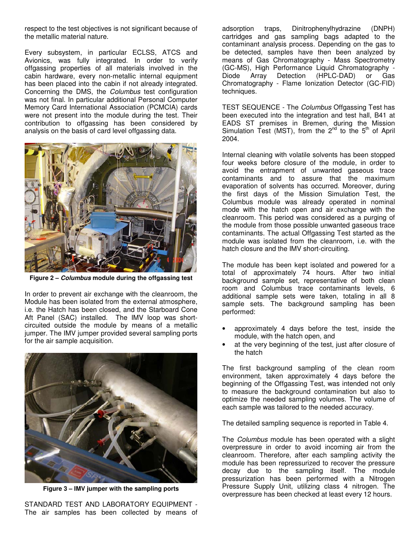respect to the test objectives is not significant because of the metallic material nature.

Every subsystem, in particular ECLSS, ATCS and Avionics, was fully integrated. In order to verify offgassing properties of all materials involved in the cabin hardware, every non-metallic internal equipment has been placed into the cabin if not already integrated. Concerning the DMS, the *Columbus* test configuration was not final. In particular additional Personal Computer Memory Card International Association (PCMCIA) cards were not present into the module during the test. Their contribution to offgassing has been considered by analysis on the basis of card level offgassing data.



**Figure 2 –** *Columbus* **module during the offgassing test**

In order to prevent air exchange with the cleanroom, the Module has been isolated from the external atmosphere, i.e. the Hatch has been closed, and the Starboard Cone Aft Panel (SAC) installed. The IMV loop was shortcircuited outside the module by means of a metallic jumper. The IMV jumper provided several sampling ports for the air sample acquisition.



**Figure 3 – IMV jumper with the sampling ports**

STANDARD TEST AND LABORATORY EQUIPMENT - The air samples has been collected by means of adsorption traps, Dinitrophenylhydrazine (DNPH) cartridges and gas sampling bags adapted to the contaminant analysis process. Depending on the gas to be detected, samples have then been analyzed by means of Gas Chromatography - Mass Spectrometry (GC-MS), High Performance Liquid Chromatography - Diode Array Detection (HPLC-DAD) or Gas Chromatography - Flame Ionization Detector (GC-FID) techniques.

TEST SEQUENCE - The *Columbus* Offgassing Test has been executed into the integration and test hall, B41 at EADS ST premises in Bremen, during the Mission Simulation Test (MST), from the  $2^{nd}$  to the  $5^{th}$  of April 2004.

Internal cleaning with volatile solvents has been stopped four weeks before closure of the module, in order to avoid the entrapment of unwanted gaseous trace contaminants and to assure that the maximum evaporation of solvents has occurred. Moreover, during the first days of the Mission Simulation Test, the Columbus module was already operated in nominal mode with the hatch open and air exchange with the cleanroom. This period was considered as a purging of the module from those possible unwanted gaseous trace contaminants. The actual Offgassing Test started as the module was isolated from the cleanroom, i.e. with the hatch closure and the IMV short-circuiting.

The module has been kept isolated and powered for a total of approximately 74 hours. After two initial background sample set, representative of both clean room and Columbus trace contaminants levels, 6 additional sample sets were taken, totaling in all 8 sample sets. The background sampling has been performed:

- approximately 4 days before the test, inside the module, with the hatch open, and
- at the very beginning of the test, just after closure of the hatch

The first background sampling of the clean room environment, taken approximately 4 days before the beginning of the Offgassing Test, was intended not only to measure the background contamination but also to optimize the needed sampling volumes. The volume of each sample was tailored to the needed accuracy.

The detailed sampling sequence is reported in Table 4.

The *Columbus* module has been operated with a slight overpressure in order to avoid incoming air from the cleanroom. Therefore, after each sampling activity the module has been repressurized to recover the pressure decay due to the sampling itself. The module pressurization has been performed with a Nitrogen Pressure Supply Unit, utilizing class 4 nitrogen. The overpressure has been checked at least every 12 hours.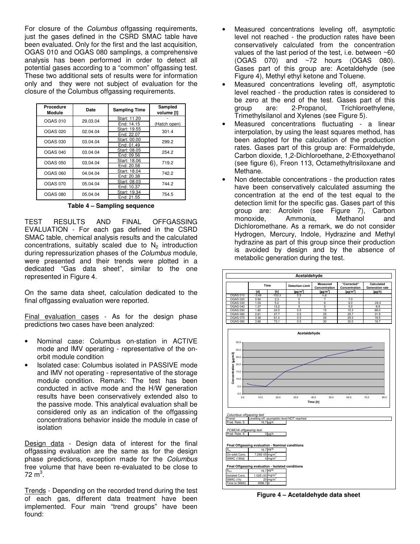For closure of the *Columbus* offgassing requirements, just the gases defined in the CSRD SMAC table have been evaluated. Only for the first and the last acquisition, OGAS 010 and OGAS 080 samplings, a comprehensive analysis has been performed in order to detect all potential gases according to a "common" offgassing test. These two additional sets of results were for information only and they were not subject of evaluation for the closure of the Columbus offgassing requirements.

| Procedure<br>Module | Date                     | <b>Sampling Time</b> | Sampled<br>volume [I] |  |
|---------------------|--------------------------|----------------------|-----------------------|--|
| OGAS 010            | 29.03.04                 | Start: 11.20         |                       |  |
|                     |                          | End: 14.15           | (Hatch open)          |  |
| OGAS 020            | 02.04.04                 | Start: 19.55         | 301.4                 |  |
|                     |                          | End: 22.07           |                       |  |
| OGAS 030            | 03.04.04                 | Start: 00.00         | 299.2                 |  |
|                     |                          | End: 01.49           |                       |  |
| OGAS 040            | Start: 08.05<br>03.04.04 |                      | 254.2                 |  |
|                     |                          | End: 09.56           |                       |  |
| OGAS 050            | 03.04.04                 | Start: 18.06         | 719.2                 |  |
|                     |                          | End: 20.58           |                       |  |
| <b>OGAS 060</b>     | 04.04.04                 | Start: 18.04         | 742.2                 |  |
|                     |                          | End: 20.38           |                       |  |
| <b>OGAS 070</b>     | 05.04.04                 | Start: 08.03         | 744.2                 |  |
|                     |                          | End: 10.37           |                       |  |
| <b>OGAS 080</b>     | 05.04.04                 | Start: 19.34         | 754.5                 |  |
|                     |                          | End: 21.55           |                       |  |

**Table 4 – Sampling sequence**

TEST RESULTS AND FINAL OFFGASSING EVALUATION - For each gas defined in the CSRD SMAC table, chemical analysis results and the calculated concentrations, suitably scaled due to  $N_2$  introduction during repressurization phases of the *Columbus* module, were presented and their trends were plotted in a dedicated "Gas data sheet", similar to the one represented in Figure 4.

On the same data sheet, calculation dedicated to the final offgassing evaluation were reported.

Final evaluation cases - As for the design phase predictions two cases have been analyzed:

- Nominal case: Columbus on-station in ACTIVE mode and IMV operating - representative of the onorbit module condition
- Isolated case: Columbus isolated in PASSIVE mode and IMV not operating - representative of the storage module condition. Remark: The test has been conducted in active mode and the H/W generation results have been conservatively extended also to the passive mode. This analytical evaluation shall be considered only as an indication of the offgassing concentrations behavior inside the module in case of isolation

Design data - Design data of interest for the final offgassing evaluation are the same as for the design phase predictions, exception made for the *Columbus* free volume that have been re-evaluated to be close to  $72 \text{ m}^3$ .

Trends - Depending on the recorded trend during the test of each gas, different data treatment have been implemented. Four main "trend groups" have been found:

- Measured concentrations leveling off, asymptotic level not reached - the production rates have been conservatively calculated from the concentration values of the last period of the test, i.e. between ~60 (OGAS 070) and ~72 hours (OGAS 080). Gases part of this group are: Acetaldehyde (see Figure 4), Methyl ethyl ketone and Toluene.
- Measured concentrations leveling off, asymptotic level reached - the production rates is considered to be zero at the end of the test. Gases part of this group are: 2-Propanol, Trichloroethylene, group are: 2-Propanol, Trichloroethylene, Trimethylsilanol and Xylenes (see Figure 5).
- Measured concentrations fluctuating a linear interpolation, by using the least squares method, has been adopted for the calculation of the production rates. Gases part of this group are: Formaldehyde, Carbon dioxide, 1,2-Dichloroethane, 2-Ethoxyethanol (see figure 6), Freon 113, Octamethyltrisiloxane and Methane.
- Non detectable concentrations the production rates have been conservatively calculated assuming the concentration at the end of the test equal to the detection limit for the specific gas. Gases part of this group are: Acrolein (see Figure 7), Carbon<br>monoxide, Mammonia, Methanol and Ammonia, Dichloromethane. As a remark, we do not consider Hydrogen, Mercury, Indole, Hydrazine and Methyl hydrazine as part of this group since their production is avoided by design and by the absence of metabolic generation during the test.



**Figure 4 – Acetaldehyde data sheet**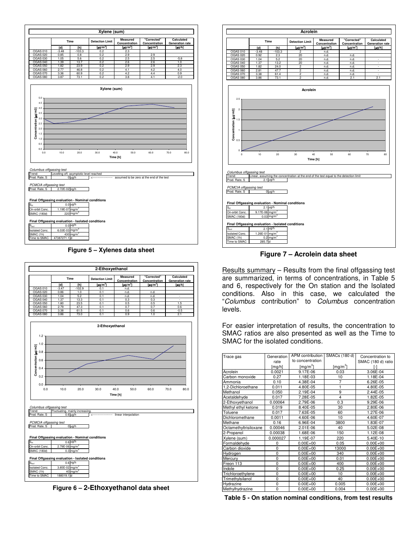

**Figure 5 – Xylenes data sheet**

| 2-Ethoxvethanol |         |            |                        |                                  |                              |                                      |  |
|-----------------|---------|------------|------------------------|----------------------------------|------------------------------|--------------------------------------|--|
|                 |         | Time       | <b>Detection Limit</b> | <b>Measured</b><br>Concentration | "Corrected"<br>Concentration | Calculated<br><b>Generation rate</b> |  |
|                 | [d]     | <b>Th1</b> | $[\mu q/m^3]$          | $\lceil \mu q/m^3 \rceil$        | $\left[\mu q/m^3\right]$     | $[\mu g/h]$                          |  |
| <b>OGAS 010</b> | $-3.47$ | $-102.9$   | 0.1                    | n.d.                             |                              |                                      |  |
| <b>OGAS 020</b> | 0.86    | 1.0        | 0.1                    | n.d.                             | n.d.                         |                                      |  |
| OGAS 030        | 1.04    | 5.2        | 0.1                    | n.d.                             | n.d.                         |                                      |  |
| OGAS 040        | 1.37    | 13.3       | 0.1                    | 0.3                              | 0.3                          |                                      |  |
| <b>OGAS 050</b> | 1.80    | 23.5       | 0.1                    | 0.5                              | 0.5                          | 1.5                                  |  |
| OGAS 060        | 2.79    | 47.3       | 0.1                    | 0.7                              | 0.7                          | 0.6                                  |  |
| <b>OGAS 070</b> | 3.38    | 61.5       | 0.1                    | 0.6                              | 0.6                          | $-0.5$                               |  |
| <b>OGAS 080</b> | 3.86    | 73.0       | 0.1                    | 0.9                              | 1.0                          | 2.1                                  |  |



**Figure 6 – 2-Ethoxyethanol data sheet**



**Figure 7 – Acrolein data sheet**

Results summary – Results from the final offgassing test are summarized, in terms of concentrations, in Table 5 and 6, respectively for the On station and the Isolated conditions. Also in this case, we calculated the "*Columbus* contribution" to *Columbus* concentration levels.

For easier interpretation of results, the concentration to SMAC ratios are also presented as well as the Time to SMAC for the isolated conditions.

| Trace gas             | Generation | <b>APM</b> contribution         | SMACs (180 d)                | Concentration to   |
|-----------------------|------------|---------------------------------|------------------------------|--------------------|
|                       | rate       | to concentration                |                              | SMAC (180 d) ratio |
|                       | [mg/h]     | $\lceil \mathsf{mq/m}^3 \rceil$ | $\left[\text{mg/m}^3\right]$ |                    |
| Acrolein              | 0.0021     | 9.17E-06                        | 0.03                         | 3.06E-04           |
| Carbon monoxide       | 0.27       | 1.18E-03                        | 10                           | 1.18E-04           |
| Ammonia               | 0.10       | 4.38E-04                        | 7                            | 6.26E-05           |
| 1.2-Dichloroethane    | 0.011      | 4.80E-05                        | 1                            | 4.80E-05           |
| Methanol              | 0.050      | 2.19E-04                        | 9                            | 2.44E-05           |
| Acetaldehyde          | 0.017      | 7.28E-05                        | $\overline{\mathbf{A}}$      | 1.82E-05           |
| 2-Ethoxyethanol       | 0.00064    | 2.79E-06                        | 0.3                          | 9.29E-06           |
| Methyl ethyl ketone   | 0.019      | 8.40E-05                        | 30                           | 2.80E-06           |
| Toluene               | 0.017      | 7.63E-05                        | 60                           | 1.27E-06           |
| Dichloromethane       | 0.0011     | 4.60E-06                        | 10                           | 4.60E-07           |
| Methane               | 0.16       | 6.96E-04                        | 3800                         | 1.83E-07           |
| Octamethyltrisiloxane | 0.00046    | 2.01E-06                        | 40                           | 5.02E-08           |
| 2-Propanol            | 0.00038    | 1.68E-06                        | 150                          | 1.12E-08           |
| Xylene (sum)          | 0.000027   | 1.19E-07                        | 220                          | 5.40E-10           |
| Formaldehyde          | 0          | $0.00E + 00$                    | 0.05                         | $0.00E + 00$       |
| Carbon dioxide        | 0          | $0.00E + 00$                    | 13000                        | $0.00E + 00$       |
| Hydrogen              | $\Omega$   | $0.00E + 00$                    | 340                          | $0.00E + 00$       |
| Mercury               | 0          | $0.00E + 00$                    | 0.01                         | $0.00E + 00$       |
| Freon 113             | 0          | $0.00E + 00$                    | 400                          | $0.00E + 00$       |
| Indole                | 0          | $0.00E + 00$                    | 0.25                         | $0.00E + 00$       |
| Trichloroethylene     | 0          | $0.00E + 00$                    | 10                           | $0.00E + 00$       |
| Trimethylsilanol      | 0          | $0.00E + 00$                    | 40                           | $0.00E + 00$       |
| Hydrazine             | 0          | $0.00E + 00$                    | 0.005                        | $0.00E + 00$       |
| Methylhydrazine       | 0          | $0.00E + 00$                    | 0.004                        | $0.00E + 00$       |

**Table 5 - On station nominal conditions, from test results**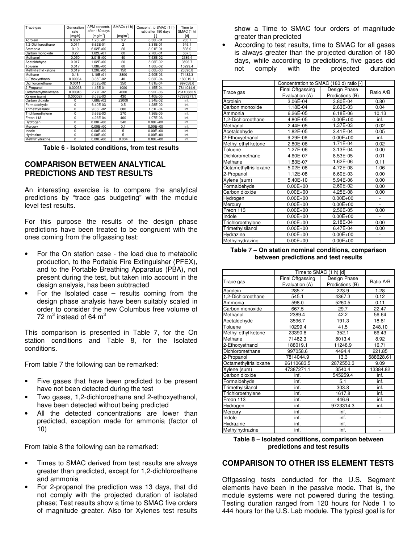| Trace gas             | Generation     | APM concentr.  | SMACs (1 h)          | Concentr. to SMAC (1 h) | Time to    |
|-----------------------|----------------|----------------|----------------------|-------------------------|------------|
|                       | rate           | after 180 days |                      | ratio after 180 days    | SMAC (1 h) |
|                       | [mg/h]         | [mg/m $^3$ ]   | [mg/m <sup>3</sup> ] |                         | [d]        |
| Acrolein              | 0.0021         | 1.26E-01       | 0.2                  | 6.30E-01                | 285.7      |
| 1.2-Dichloroethane    | 0.011          | 6.62E-01       | $\overline{c}$       | 3.31E-01                | 545.1      |
| Ammonia               | 0.10           | $6.02E + 00$   | 20                   | 3.01E-01                | 598.0      |
| Carbon monoxide       | 0.27           | $1.62E + 01$   | 60                   | 2.70E-01                | 667.5      |
| Methanol              | 0.050          | $3.01E + 00$   | 40                   | 7.53E-02                | 2389.4     |
| Acetaldehyde          | 0.017          | $1.02E + 00$   | 20                   | 5.08E-02                | 3596.7     |
| Toluene               | 0.017          | $1.08E + 00$   | 60                   | 1.80E-02                | 10299.4    |
| Methyl ethyl ketone   | 0.019          | 1.20E+00       | 150                  | 8.00E-03                | 23390.8    |
| Methane               | 0.16           | 1.10E+01       | 3800                 | 2.90E-03                | 71482.3    |
| 2-Ethoxyethanol       | 0.00064        | 3.85E-02       | 40                   | 9.63E-04                | 188019.1   |
| Dichloromethane       | 0.0011         | 6.32E-02       | 350                  | $1.81E - 04$            | 997058.6   |
| 2-Propanol            | 0.00038        | 1.15E-01       | 1000                 | 1.15E-04                | 7814044.9  |
| Octamethyltrisiloxane | 0.00046        | 2.77E-02       | 4000                 | 6.92E-06                | 26110683.5 |
| Xylene (sum)          | 0.000027       | 6.03E-03       | 430                  | 1.40E-05                | 47387271.1 |
| Carbon dioxide        | 0              | 7.68E+02       | 23000                | 3.34E-02                | inf.       |
| Formaldehyde          | $\Omega$       | 6.40E-03       | 0.5                  | 1.28E-02                | inf.       |
| Trimethylsilanol      | $\Omega$       | 9.06E-02       | 600                  | 1.51E-04                | inf.       |
| Trichloroethylene     | 0              | 3.66E-03       | 270                  | 1.36E-05                | inf.       |
| Freon 113             | $\overline{0}$ | 4.26E-04       | 400                  | 1.07E-06                | inf.       |
| Hydrogen              | $\Omega$       | $0.00E + 00$   | 340                  | $0.00E + 00$            | inf.       |
| Mercury               | 0              | $0.00E + 00$   | 0.1                  | $0.00E + 00$            | inf.       |
| Indole                | 0              | $0.00E + 00$   | 5                    | $0.00E + 00$            | inf.       |
| Hydrazine             | $\Omega$       | $0.00E + 00$   | 5                    | $0.00E + 00$            | inf.       |
| Methylhydrazine       | $\Omega$       | $0.00E + 00$   | 0.004                | $0.00E + 00$            | inf.       |

**Table 6 - Isolated conditions, from test results**

#### **COMPARISON BETWEEN ANALYTICAL PREDICTIONS AND TEST RESULTS**

An interesting exercise is to compare the analytical predictions by "trace gas budgeting" with the module level test results.

For this purpose the results of the design phase predictions have been treated to be congruent with the ones coming from the offgassing test:

- For the On station case the load due to metabolic production, to the Portable Fire Extinguisher (PFEX), and to the Portable Breathing Apparatus (PBA), not present during the test, but taken into account in the design analysis, has been subtracted
- For the Isolated case  $-$  results coming from the design phase analysis have been suitably scaled in order to consider the new Columbus free volume of 72  $m<sup>3</sup>$  instead of 64  $m<sup>3</sup>$

This comparison is presented in Table 7, for the On station conditions and Table 8, for the Isolated conditions.

From table 7 the following can be remarked:

- Five gases that have been predicted to be present have not been detected during the test
- Two gases, 1,2-dichloroethane and 2-ethoxyethanol, have been detected without being predicted
- All the detected concentrations are lower than predicted, exception made for ammonia (factor of 10)

From table 8 the following can be remarked:

- Times to SMAC derived from test results are always greater than predicted, except for 1,2-dichloroethane and ammonia
- For 2-propanol the prediction was 13 days, that did not comply with the projected duration of isolated phase; Test results show a time to SMAC five orders of magnitude greater. Also for Xylenes test results

show a Time to SMAC four orders of magnitude greater than predicted

• According to test results, time to SMAC for all gases is always greater than the projected duration of 180 days, while according to predictions, five gases did not comply with the projected duration not comply with the projected

|                       | Concentration to SMAC (180 d) ratio [-] |                 |                              |
|-----------------------|-----------------------------------------|-----------------|------------------------------|
|                       | Final Offgassing                        | Design Phase    | Ratio A/B                    |
| Trace gas             | Evaluation (A)                          | Predictions (B) |                              |
| Acrolein              | 3.06E-04                                | 3.80E-04        | 0.80                         |
| Carbon monoxide       | 1.18E-04                                | 2.63E-03        | 0.04                         |
| Ammonia               | 6.26E-05                                | 6.18E-06        | 10.13                        |
| 1,2-Dichloroethane    | 4.80E-05                                | $0.00E + 00$    | inf.                         |
| Methanol              | 2.44E-05                                | 1.37E-03        | 0.02                         |
| Acetaldehyde          | 1.82E-05                                | 3.41E-04        | 0.05                         |
| 2-Ethoxyethanol       | 9.29E-06                                | $0.00E + 00$    | inf.                         |
| Methyl ethyl ketone   | 2.80E-06                                | 1.71E-04        | 0.02                         |
| Toluene               | 1.27E-06                                | 3.13E-04        | 0.00                         |
| Dichloromethane       | 4.60E-07                                | 8.53E-05        | 0.01                         |
| Methane               | 1.83E-07                                | 1.62E-06        | 0.11                         |
| Octamethyltrisiloxane | 5.02E-08                                | 4.72E-08        | 1.06                         |
| 2-Propanol            | 1.12E-08                                | 6.60E-03        | 0.00                         |
| Xylene (sum)          | 5.40E-10                                | 5.94E-06        | 0.00                         |
| Formaldehyde          | $0.00E + 00$                            | 2.60E-02        | 0.00                         |
| Carbon dioxide        | $0.00E + 00$                            | 4.25E-08        | 0.00                         |
| Hydrogen              | $0.00E + 00$                            | $0.00E + 00$    | $\qquad \qquad \blacksquare$ |
| Mercury               | $0.00E + 00$                            | $0.00E + 00$    |                              |
| Freon 113             | $0.00E + 00$                            | 2.56E-05        | 0.00                         |
| Indole                | $0.00E + 00$                            | $0.00E + 00$    |                              |
| Trichloroethylene     | $0.00E + 00$                            | 2.18E-04        | 0.00                         |
| Trimethylsilanol      | $0.00E + 00$                            | 6.47E-04        | 0.00                         |
| Hydrazine             | $0.00E + 00$                            | $0.00E + 00$    |                              |
| Methylhydrazine       | $0.00E + 00$                            | $0.00E + 00$    | ÷,                           |

**Table 7 – On station nominal conditions, comparison between predictions and test results**

|                       | Time to SMAC (1 h) [d]             |                                 |           |
|-----------------------|------------------------------------|---------------------------------|-----------|
| Trace gas             | Final Offgassing<br>Evaluation (A) | Design Phase<br>Predictions (B) | Ratio A/B |
| Acrolein              | 285.7                              | 223.9                           | 1.28      |
| 1,2-Dichloroethane    | 545.1                              | 4367.3                          | 0.12      |
| Ammonia               | 598.0                              | 5260.5                          | 0.11      |
| Carbon monoxide       | 667.5                              | 29.7                            | 22.47     |
| Methanol              | 2389.4                             | 42.2                            | 56.64     |
| Acetaldehyde          | 3596.7                             | 191.3                           | 18.81     |
| Toluene               | 10299.4                            | 41.5                            | 248.10    |
| Methyl ethyl ketone   | 23390.8                            | 352.1                           | 66.43     |
| Methane               | 71482.3                            | 8013.4                          | 8.92      |
| 2-Ethoxyethanol       | 188019.1                           | 11248.9                         | 16.71     |
| Dichloromethane       | 997058.6                           | 4494.4                          | 221.85    |
| 2-Propanol            | 7814044.9                          | 13.3                            | 588628.61 |
| Octamethyltrisiloxane | 26110683.5                         | 2872550.3                       | 9.09      |
| Xylene (sum)          | 47387271.1                         | 3540.4                          | 13384.82  |
| Carbon dioxide        | inf.                               | 545259.4                        | inf.      |
| Formaldehyde          | inf.                               | 5.1                             | inf.      |
| Trimethylsilanol      | inf.                               | 303.8                           | inf.      |
| Trichloroethylene     | inf.                               | 1617.8                          | inf.      |
| Freon 113             | inf.                               | 446.6                           | inf.      |
| Hydrogen              | inf.                               | 9723314.3                       | inf.      |
| Mercury               | inf.                               | inf.                            |           |
| Indole                | inf.                               | inf.                            |           |
| Hydrazine             | inf.                               | inf.                            | ٠         |
| Methylhydrazine       | inf.                               | inf.                            |           |

**Table 8 – Isolated conditions, comparison between predictions and test results**

## **COMPARISON TO OTHER ISS ELEMENT TESTS**

Offgassing tests conducted for the U.S. Segment elements have been in the passive mode. That is, the module systems were not powered during the testing. Testing duration ranged from 120 hours for Node 1 to 444 hours for the U.S. Lab module. The typical goal is for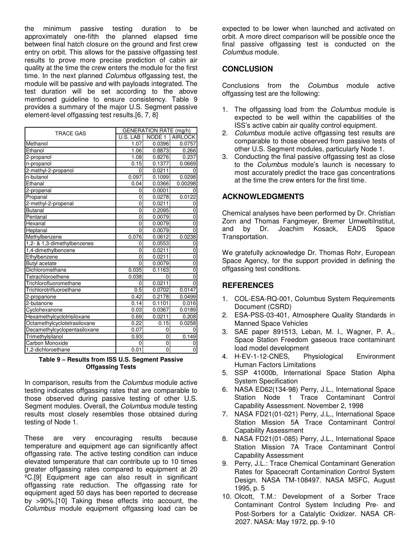the minimum passive testing duration to be approximately one-fifth the planned elapsed time between final hatch closure on the ground and first crew entry on orbit. This allows for the passive offgassing test results to prove more precise prediction of cabin air quality at the time the crew enters the module for the first time. In the next planned *Columbus* offgassing test, the module will be passive and with payloads integrated. The test duration will be set according to the above mentioned guideline to ensure consistency. Table 9 provides a summary of the major U.S. Segment passive element-level offgassing test results.[6, 7, 8]

| <b>TRACE GAS</b>             | <b>GENERATION RATE (mg/h)</b> |          |                |  |
|------------------------------|-------------------------------|----------|----------------|--|
|                              | U.S. LAB                      | NODE 1   | <b>AIRLOCK</b> |  |
| Methanol                     | 1.07                          | 0.0396   | 0.0757         |  |
| Ethanol                      | 1.06                          | 0.8873   | 0.266          |  |
| 2-propanol                   | 1.08                          | 0.8276   | 0.237          |  |
| n-propanol                   | 0.15                          | 0.1377   | 0.0669         |  |
| 2-methyl-2-propanol          | 0                             | 0.0211   | 0              |  |
| n-butanol                    | 0.097                         | 0.1099   | 0.0298         |  |
| Ethanal                      | 0.04                          | 0.0366   | 0.00298        |  |
| 2-propenal                   | 0                             | 0.0001   |                |  |
| Propanal                     | Ō                             | 0.0278   | 0.0122         |  |
| 2-methyl-2-propenal          | 0                             | 0.0211   | 0              |  |
| <b>Butanal</b>               | 0                             | 0.2095   | 0              |  |
| Pentanal                     | 0                             | 0.0079   | 0              |  |
| Hexanal                      | 0                             | 0.0079   | 0              |  |
| Heptanal                     | 0                             | 0.0079   | $\Omega$       |  |
| Methylbenzene                | 0.076                         | 0.0612   | 0.0238         |  |
| 1,2- & 1,3-dimethylbenzenes  | 0                             | 0.0553   | 0              |  |
| 1,4-dimethylbenzene          | 0                             | 0.0211   | 0              |  |
| Ethylbenzene                 | 0                             | 0.0211   | $\overline{0}$ |  |
| Butyl acetate                | 0                             | 0.0079   | 0              |  |
| Dichloromethane              | 0.035                         | 0.1163   | 0              |  |
| Tetrachloroethene            | 0.038                         | 0        | 0              |  |
| Trichlorofluoromethane       | 0                             | 0.0211   | 0              |  |
| Trichlorotrifluoroethane     | 0.5                           | 0.0702   | 0.0147         |  |
| 2-propanone                  | 0.42                          | 0.2178   | 0.0499         |  |
| 2-butanone                   | 0.14                          | 0.1101   | 0.016          |  |
| Cyclohexanone                | 0.03                          | 0.0367   | 0.0189         |  |
| Hexamethylcyclotrisiloxane   | 0.69                          | 0.0211   | 0.208          |  |
| Octamethylcyclotetrasiloxane | 0.22                          | 0.15     | 0.0258         |  |
| Decamethylcyclopentasiloxane | 0.07                          | 0        |                |  |
| Trimethylsilanol             | 0.93                          | 0        | 0.149          |  |
| Carbon Monoxide              | 0                             | 0        | 0              |  |
| 1,2-dichloroethane           | 0.01                          | $\Omega$ | $\Omega$       |  |

| Table 9 - Results from ISS U.S. Segment Passive |                         |  |
|-------------------------------------------------|-------------------------|--|
|                                                 | <b>Offgassing Tests</b> |  |

In comparison, results from the *Columbus* module active testing indicates offgassing rates that are comparable to those observed during passive testing of other U.S. Segment modules. Overall, the *Columbus* module testing results most closely resembles those obtained during testing of Node 1.

These are very encouraging results because temperature and equipment age can significantly affect offgassing rate. The active testing condition can induce elevated temperature that can contribute up to 10 times greater offgassing rates compared to equipment at 20 ºC.[9] Equipment age can also result in significant offgassing rate reduction. The offgassing rate for equipment aged 50 days has been reported to decrease by >90%.[10] Taking these effects into account, the *Columbus* module equipment offgassing load can be

expected to be lower when launched and activated on orbit. A more direct comparison will be possible once the final passive offgassing test is conducted on the *Columbus* module.

## **CONCLUSION**

Conclusions from the *Columbus* module active offgassing test are the following:

- 1. The offgassing load from the *Columbus* module is expected to be well within the capabilities of the ISS's active cabin air quality control equipment.
- 2. *Columbus* module active offgassing test results are comparable to those observed from passive tests of other U.S. Segment modules, particularly Node 1.
- 3. Conducting the final passive offgassing test as close to the *Columbus* module's launch is necessary to most accurately predict the trace gas concentrations at the time the crew enters for the first time.

## **ACKNOWLEDGMENTS**

Chemical analyses have been performed by Dr. Christian Zorn and Thomas Fangmeyer, Bremer UmweltiInstitut, and by Dr. Joachim Kosack, EADS Space Transportation.

We gratefully acknowledge Dr. Thomas Rohr, European Space Agency, for the support provided in defining the offgassing test conditions.

## **REFERENCES**

- 1. COL-ESA-RQ-001, Columbus System Requirements Document (CSRD)
- 2. ESA-PSS-03-401, Atmosphere Quality Standards in Manned Space Vehicles
- 3. SAE paper 891513, Leban, M. I., Wagner, P. A., Space Station Freedom gaseous trace contaminant load model development
- 4. H-EV-1-12-CNES, Physiological Environment Human Factors Limitations
- 5. SSP 41000b, International Space Station Alpha System Specification
- 6. NASA ED62(134-98) Perry, J.L., International Space Station Node 1 Trace Contaminant Control Capability Assessment. November 2, 1998
- 7. NASA FD21(01-021) Perry, J.L., International Space Station Mission 5A Trace Contaminant Control Capability Assessment
- 8. NASA FD21(01-085) Perry, J.L., International Space Station Mission 7A Trace Contaminant Control Capability Assessment
- 9. Perry, J.L.: Trace Chemical Contaminant Generation Rates for Spacecraft Contamination Control System Design. NASA TM-108497. NASA MSFC, August 1995, p. 5
- 10. Olcott, T.M.: Development of a Sorber Trace Contaminant Control System Including Pre- and Post-Sorbers for a Catalytic Oxidizer. NASA CR-2027. NASA: May 1972, pp. 9-10